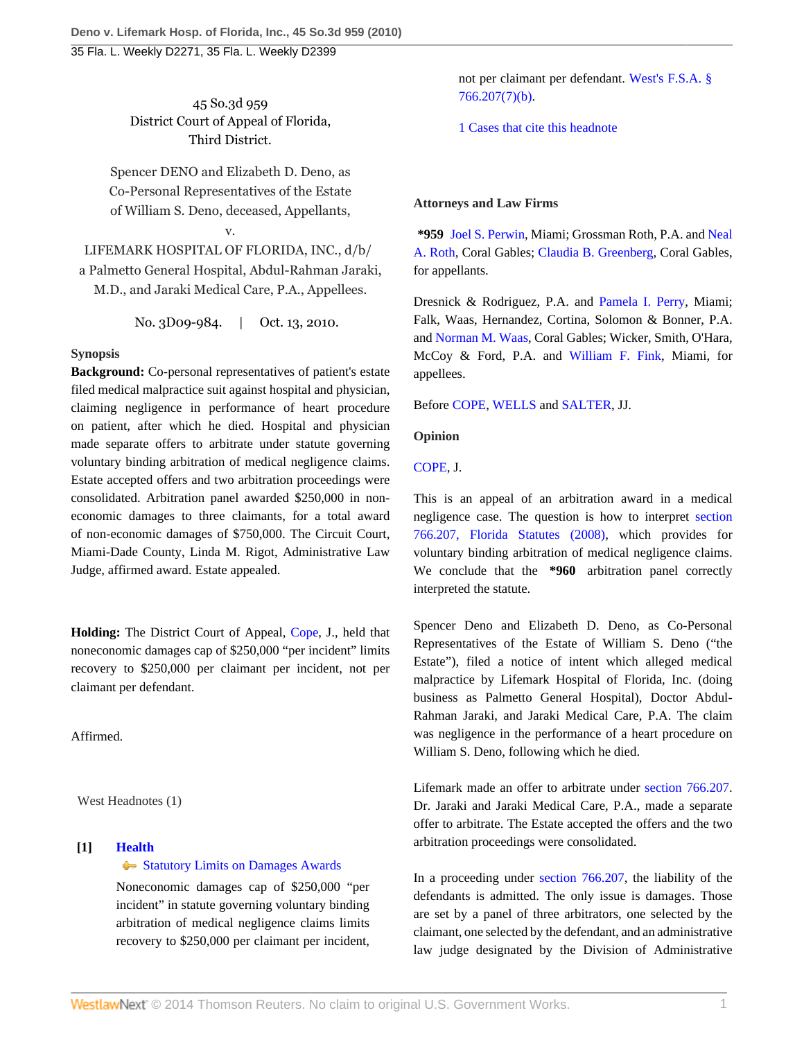45 So.3d 959 District Court of Appeal of Florida, Third District.

Spencer DENO and Elizabeth D. Deno, as Co-Personal Representatives of the Estate of William S. Deno, deceased, Appellants,

v.

LIFEMARK HOSPITAL OF FLORIDA, INC., d/b/ a Palmetto General Hospital, Abdul-Rahman Jaraki, M.D., and Jaraki Medical Care, P.A., Appellees.

No. 3D09-984. | Oct. 13, 2010.

# **Synopsis**

**Background:** Co-personal representatives of patient's estate filed medical malpractice suit against hospital and physician, claiming negligence in performance of heart procedure on patient, after which he died. Hospital and physician made separate offers to arbitrate under statute governing voluntary binding arbitration of medical negligence claims. Estate accepted offers and two arbitration proceedings were consolidated. Arbitration panel awarded \$250,000 in noneconomic damages to three claimants, for a total award of non-economic damages of \$750,000. The Circuit Court, Miami-Dade County, Linda M. Rigot, Administrative Law Judge, affirmed award. Estate appealed.

**Holding:** The District Court of Appeal, [Cope,](http://www.westlaw.com/Link/Document/FullText?findType=h&pubNum=176284&cite=0221051601&originatingDoc=I0843222ed6bb11dfb5fdfcf739be147c&refType=RQ&originationContext=document&vr=3.0&rs=cblt1.0&transitionType=DocumentItem&contextData=(sc.Default)) J., held that noneconomic damages cap of \$250,000 "per incident" limits recovery to \$250,000 per claimant per incident, not per claimant per defendant.

Affirmed.

West Headnotes (1)

# **[1] [Health](http://www.westlaw.com/Browse/Home/KeyNumber/198H/View.html?docGuid=I0843222ed6bb11dfb5fdfcf739be147c&originationContext=document&vr=3.0&rs=cblt1.0&transitionType=DocumentItem&contextData=(sc.Default))**

## [Statutory Limits on Damages Awards](http://www.westlaw.com/Browse/Home/KeyNumber/198Hk834/View.html?docGuid=I0843222ed6bb11dfb5fdfcf739be147c&originationContext=document&vr=3.0&rs=cblt1.0&transitionType=DocumentItem&contextData=(sc.Default))

Noneconomic damages cap of \$250,000 "per incident" in statute governing voluntary binding arbitration of medical negligence claims limits recovery to \$250,000 per claimant per incident,

not per claimant per defendant. [West's F.S.A. §](http://www.westlaw.com/Link/Document/FullText?findType=L&pubNum=1000006&cite=FLSTS766.207&originatingDoc=I0843222ed6bb11dfb5fdfcf739be147c&refType=SP&originationContext=document&vr=3.0&rs=cblt1.0&transitionType=DocumentItem&contextData=(sc.Default)#co_pp_bbe600004b9a4) [766.207\(7\)\(b\)](http://www.westlaw.com/Link/Document/FullText?findType=L&pubNum=1000006&cite=FLSTS766.207&originatingDoc=I0843222ed6bb11dfb5fdfcf739be147c&refType=SP&originationContext=document&vr=3.0&rs=cblt1.0&transitionType=DocumentItem&contextData=(sc.Default)#co_pp_bbe600004b9a4).

[1 Cases that cite this headnote](http://www.westlaw.com/Link/RelatedInformation/DocHeadnoteLink?docGuid=I0843222ed6bb11dfb5fdfcf739be147c&headnoteId=202330368500120110116202038&originationContext=document&vr=3.0&rs=cblt1.0&transitionType=CitingReferences&contextData=(sc.Default))

# **Attorneys and Law Firms**

**\*959** [Joel S. Perwin,](http://www.westlaw.com/Link/Document/FullText?findType=h&pubNum=176284&cite=0165760101&originatingDoc=I0843222ed6bb11dfb5fdfcf739be147c&refType=RQ&originationContext=document&vr=3.0&rs=cblt1.0&transitionType=DocumentItem&contextData=(sc.Default)) Miami; Grossman Roth, P.A. and [Neal](http://www.westlaw.com/Link/Document/FullText?findType=h&pubNum=176284&cite=0140074601&originatingDoc=I0843222ed6bb11dfb5fdfcf739be147c&refType=RQ&originationContext=document&vr=3.0&rs=cblt1.0&transitionType=DocumentItem&contextData=(sc.Default)) [A. Roth,](http://www.westlaw.com/Link/Document/FullText?findType=h&pubNum=176284&cite=0140074601&originatingDoc=I0843222ed6bb11dfb5fdfcf739be147c&refType=RQ&originationContext=document&vr=3.0&rs=cblt1.0&transitionType=DocumentItem&contextData=(sc.Default)) Coral Gables; [Claudia B. Greenberg,](http://www.westlaw.com/Link/Document/FullText?findType=h&pubNum=176284&cite=0201889401&originatingDoc=I0843222ed6bb11dfb5fdfcf739be147c&refType=RQ&originationContext=document&vr=3.0&rs=cblt1.0&transitionType=DocumentItem&contextData=(sc.Default)) Coral Gables, for appellants.

Dresnick & Rodriguez, P.A. and [Pamela I. Perry,](http://www.westlaw.com/Link/Document/FullText?findType=h&pubNum=176284&cite=0195801101&originatingDoc=I0843222ed6bb11dfb5fdfcf739be147c&refType=RQ&originationContext=document&vr=3.0&rs=cblt1.0&transitionType=DocumentItem&contextData=(sc.Default)) Miami; Falk, Waas, Hernandez, Cortina, Solomon & Bonner, P.A. and [Norman M. Waas](http://www.westlaw.com/Link/Document/FullText?findType=h&pubNum=176284&cite=0119640801&originatingDoc=I0843222ed6bb11dfb5fdfcf739be147c&refType=RQ&originationContext=document&vr=3.0&rs=cblt1.0&transitionType=DocumentItem&contextData=(sc.Default)), Coral Gables; Wicker, Smith, O'Hara, McCoy & Ford, P.A. and [William F. Fink,](http://www.westlaw.com/Link/Document/FullText?findType=h&pubNum=176284&cite=0225526001&originatingDoc=I0843222ed6bb11dfb5fdfcf739be147c&refType=RQ&originationContext=document&vr=3.0&rs=cblt1.0&transitionType=DocumentItem&contextData=(sc.Default)) Miami, for appellees.

Before [COPE](http://www.westlaw.com/Link/Document/FullText?findType=h&pubNum=176284&cite=0221051601&originatingDoc=I0843222ed6bb11dfb5fdfcf739be147c&refType=RQ&originationContext=document&vr=3.0&rs=cblt1.0&transitionType=DocumentItem&contextData=(sc.Default)), [WELLS](http://www.westlaw.com/Link/Document/FullText?findType=h&pubNum=176284&cite=0280508001&originatingDoc=I0843222ed6bb11dfb5fdfcf739be147c&refType=RQ&originationContext=document&vr=3.0&rs=cblt1.0&transitionType=DocumentItem&contextData=(sc.Default)) and [SALTER,](http://www.westlaw.com/Link/Document/FullText?findType=h&pubNum=176284&cite=0129874401&originatingDoc=I0843222ed6bb11dfb5fdfcf739be147c&refType=RQ&originationContext=document&vr=3.0&rs=cblt1.0&transitionType=DocumentItem&contextData=(sc.Default)) JJ.

## **Opinion**

[COPE,](http://www.westlaw.com/Link/Document/FullText?findType=h&pubNum=176284&cite=0221051601&originatingDoc=I0843222ed6bb11dfb5fdfcf739be147c&refType=RQ&originationContext=document&vr=3.0&rs=cblt1.0&transitionType=DocumentItem&contextData=(sc.Default)) J.

This is an appeal of an arbitration award in a medical negligence case. The question is how to interpret [section](http://www.westlaw.com/Link/Document/FullText?findType=L&pubNum=1000006&cite=FLSTS766.207&originatingDoc=I0843222ed6bb11dfb5fdfcf739be147c&refType=LQ&originationContext=document&vr=3.0&rs=cblt1.0&transitionType=DocumentItem&contextData=(sc.Default)) [766.207, Florida Statutes \(2008\)](http://www.westlaw.com/Link/Document/FullText?findType=L&pubNum=1000006&cite=FLSTS766.207&originatingDoc=I0843222ed6bb11dfb5fdfcf739be147c&refType=LQ&originationContext=document&vr=3.0&rs=cblt1.0&transitionType=DocumentItem&contextData=(sc.Default)), which provides for voluntary binding arbitration of medical negligence claims. We conclude that the **\*960** arbitration panel correctly interpreted the statute.

Spencer Deno and Elizabeth D. Deno, as Co-Personal Representatives of the Estate of William S. Deno ("the Estate"), filed a notice of intent which alleged medical malpractice by Lifemark Hospital of Florida, Inc. (doing business as Palmetto General Hospital), Doctor Abdul-Rahman Jaraki, and Jaraki Medical Care, P.A. The claim was negligence in the performance of a heart procedure on William S. Deno, following which he died.

Lifemark made an offer to arbitrate under [section 766.207](http://www.westlaw.com/Link/Document/FullText?findType=L&pubNum=1000006&cite=FLSTS766.207&originatingDoc=I0843222ed6bb11dfb5fdfcf739be147c&refType=LQ&originationContext=document&vr=3.0&rs=cblt1.0&transitionType=DocumentItem&contextData=(sc.Default)). Dr. Jaraki and Jaraki Medical Care, P.A., made a separate offer to arbitrate. The Estate accepted the offers and the two arbitration proceedings were consolidated.

In a proceeding under [section 766.207,](http://www.westlaw.com/Link/Document/FullText?findType=L&pubNum=1000006&cite=FLSTS766.207&originatingDoc=I0843222ed6bb11dfb5fdfcf739be147c&refType=LQ&originationContext=document&vr=3.0&rs=cblt1.0&transitionType=DocumentItem&contextData=(sc.Default)) the liability of the defendants is admitted. The only issue is damages. Those are set by a panel of three arbitrators, one selected by the claimant, one selected by the defendant, and an administrative law judge designated by the Division of Administrative